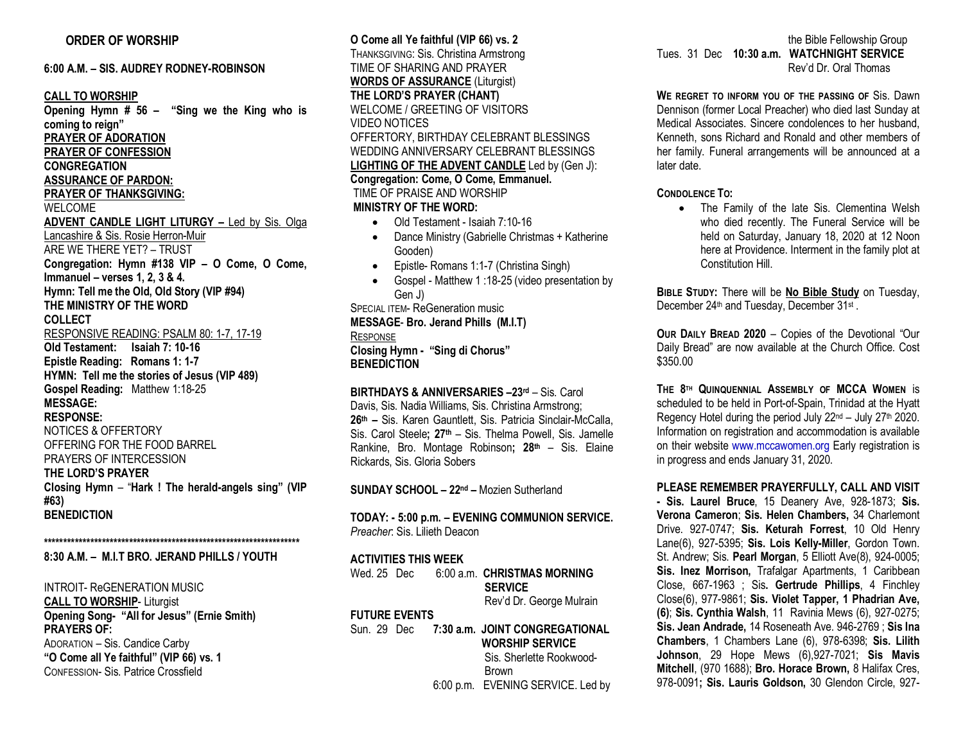**6:00 A.M. – SIS. AUDREY RODNEY-ROBINSON CALL TO WORSHIP Opening Hymn # 56 – "Sing we the King who is coming to reign" PRAYER OF ADORATION PRAYER OF CONFESSION CONGREGATION ASSURANCE OF PARDON: PRAYER OF THANKSGIVING:** WELCOME **ADVENT CANDLE LIGHT LITURGY –** Led by Sis. Olga Lancashire & Sis. Rosie Herron-Muir ARE WE THERE YET? – TRUST **Congregation: Hymn #138 VIP – O Come, O Come, Immanuel – verses 1, 2, 3 & 4. Hymn: Tell me the Old, Old Story (VIP #94) THE MINISTRY OF THE WORD COLLECT**  RESPONSIVE READING: PSALM 80: 1-7, 17-19 **Old Testament: Isaiah 7: 10-16 Epistle Reading: Romans 1: 1-7 HYMN: Tell me the stories of Jesus (VIP 489) Gospel Reading:** Matthew 1:18-25 **MESSAGE: RESPONSE:**  NOTICES & OFFERTORY OFFERING FOR THE FOOD BARREL PRAYERS OF INTERCESSION **THE LORD'S PRAYER Closing Hymn** – "**Hark ! The herald-angels sing" (VIP #63) BENEDICTION** 

**\*\*\*\*\*\*\*\*\*\*\*\*\*\*\*\*\*\*\*\*\*\*\*\*\*\*\*\*\*\*\*\*\*\*\*\*\*\*\*\*\*\*\*\*\*\*\*\*\*\*\*\*\*\*\*\*\*\*\*\*\*\*\*\*\*\* 8:30 A.M. – M.I.T BRO. JERAND PHILLS / YOUTH**

INTROIT- ReGENERATION MUSIC **CALL TO WORSHIP**- Liturgist **Opening Song- "All for Jesus" (Ernie Smith) PRAYERS OF:** ADORATION – Sis. Candice Carby **"O Come all Ye faithful" (VIP 66) vs. 1** CONFESSION- Sis. Patrice Crossfield

**O Come all Ye faithful (VIP 66) vs. 2** THANKSGIVING: Sis. Christina Armstrong TIME OF SHARING AND PRAYER **WORDS OF ASSURANCE** (Liturgist) **THE LORD'S PRAYER (CHANT)** WELCOME / GREETING OF VISITORS VIDEO NOTICES OFFERTORY, BIRTHDAY CELEBRANT BLESSINGS WEDDING ANNIVERSARY CELEBRANT BLESSINGS **LIGHTING OF THE ADVENT CANDLE** Led by (Gen J): **Congregation: Come, O Come, Emmanuel.** TIME OF PRAISE AND WORSHIP **MINISTRY OF THE WORD:** • Old Testament - Isaiah 7:10-16 • Dance Ministry (Gabrielle Christmas + Katherine Gooden) • Epistle- Romans 1:1-7 (Christina Singh) • Gospel - Matthew 1 :18-25 (video presentation by Gen J) SPECIAL ITEM- ReGeneration music

**MESSAGE**- **Bro. Jerand Phills (M.I.T) RESPONSE Closing Hymn - "Sing di Chorus" BENEDICTION** 

**BIRTHDAYS & ANNIVERSARIES –23rd** – Sis. Carol Davis, Sis. Nadia Williams, Sis. Christina Armstrong; **26th –** Sis. Karen Gauntlett, Sis. Patricia Sinclair-McCalla, Sis. Carol Steele**; 27th** – Sis. Thelma Powell, Sis. Jamelle Rankine, Bro. Montage Robinson**; 28th** – Sis. Elaine Rickards, Sis. Gloria Sobers

**SUNDAY SCHOOL – 22nd –** Mozien Sutherland

**TODAY: - 5:00 p.m. – EVENING COMMUNION SERVICE.**  *Preacher*: Sis. Lilieth Deacon

## **ACTIVITIES THIS WEEK**

|                      |  | Wed. 25 Dec 6:00 a.m. CHRISTMAS MORNING<br><b>SERVICE</b><br>Rev'd Dr. George Mulrain |
|----------------------|--|---------------------------------------------------------------------------------------|
| <b>FUTURE EVENTS</b> |  |                                                                                       |
|                      |  | Sun. 29 Dec 7:30 a.m. JOINT CONGREGATIONAL<br><b>WORSHIP SERVICE</b>                  |
|                      |  | Sis. Sherlette Rookwood-<br><b>Brown</b>                                              |
|                      |  | 6:00 p.m. EVENING SERVICE. Led by                                                     |

the Bible Fellowship Group Tues. 31 Dec **10:30 a.m. WATCHNIGHT SERVICE** Rev'd Dr. Oral Thomas

**WE REGRET TO INFORM YOU OF THE PASSING OF** Sis. Dawn Dennison (former Local Preacher) who died last Sunday at Medical Associates. Sincere condolences to her husband, Kenneth, sons Richard and Ronald and other members of her family. Funeral arrangements will be announced at a later date.

**CONDOLENCE TO:**

• The Family of the late Sis. Clementina Welsh who died recently. The Funeral Service will be held on Saturday, January 18, 2020 at 12 Noon here at Providence. Interment in the family plot at Constitution Hill.

**BIBLE STUDY:** There will be **No Bible Study** on Tuesday, December 24<sup>th</sup> and Tuesday, December 31<sup>st</sup>.

**OUR DAILY BREAD 2020** – Copies of the Devotional "Our Daily Bread" are now available at the Church Office. Cost \$350.00

**THE 8TH QUINQUENNIAL ASSEMBLY OF MCCA WOMEN** is scheduled to be held in Port-of-Spain, Trinidad at the Hyatt Regency Hotel during the period July  $22^{nd}$  – July  $27^{th}$  2020. Information on registration and accommodation is available on their website www.mccawomen.org Early registration is in progress and ends January 31, 2020.

**PLEASE REMEMBER PRAYERFULLY, CALL AND VISIT - Sis. Laurel Bruce**, 15 Deanery Ave, 928-1873; **Sis. Verona Cameron**; **Sis. Helen Chambers,** 34 Charlemont Drive. 927-0747; **Sis. Keturah Forrest**, 10 Old Henry Lane(6), 927-5395; **Sis. Lois Kelly-Miller**, Gordon Town. St. Andrew; Sis. **Pearl Morgan**, 5 Elliott Ave(8), 924-0005; **Sis. Inez Morrison,** Trafalgar Apartments, 1 Caribbean Close, 667-1963 ; Sis**. Gertrude Phillips**, 4 Finchley Close(6), 977-9861; **Sis. Violet Tapper, 1 Phadrian Ave, (6)**; **Sis. Cynthia Walsh**, 11 Ravinia Mews (6), 927-0275; **Sis. Jean Andrade,** 14 Roseneath Ave. 946-2769 ; **Sis Ina Chambers**, 1 Chambers Lane (6), 978-6398; **Sis. Lilith Johnson**, 29 Hope Mews (6),927-7021; **Sis Mavis Mitchell**, (970 1688); **Bro. Horace Brown,** 8 Halifax Cres, 978-0091**; Sis. Lauris Goldson,** 30 Glendon Circle, 927-